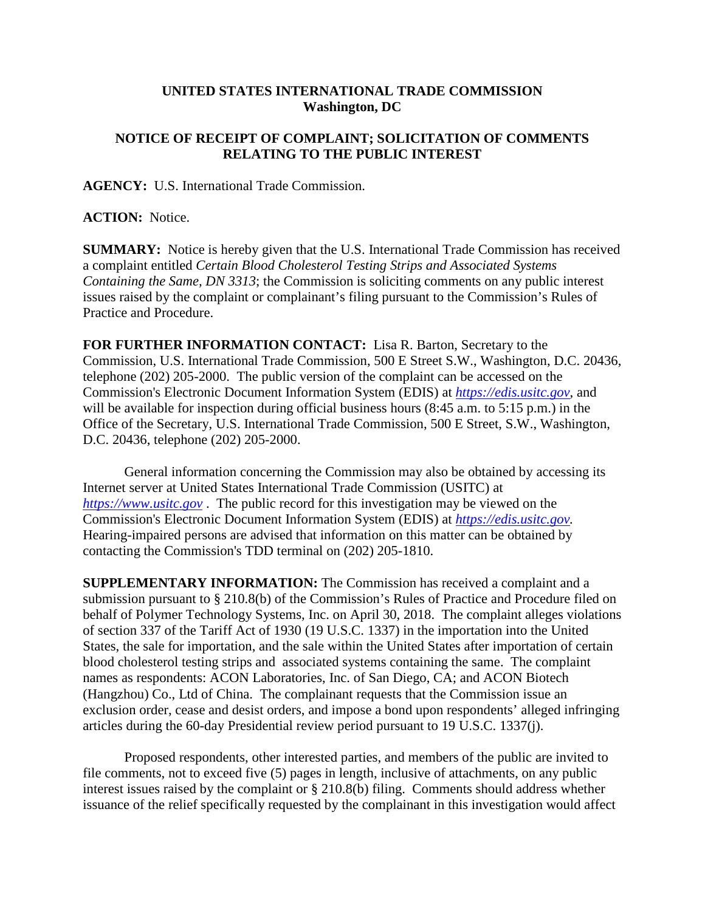## **UNITED STATES INTERNATIONAL TRADE COMMISSION Washington, DC**

## **NOTICE OF RECEIPT OF COMPLAINT; SOLICITATION OF COMMENTS RELATING TO THE PUBLIC INTEREST**

**AGENCY:** U.S. International Trade Commission.

**ACTION:** Notice.

**SUMMARY:** Notice is hereby given that the U.S. International Trade Commission has received a complaint entitled *Certain Blood Cholesterol Testing Strips and Associated Systems Containing the Same, DN 3313*; the Commission is soliciting comments on any public interest issues raised by the complaint or complainant's filing pursuant to the Commission's Rules of Practice and Procedure.

**FOR FURTHER INFORMATION CONTACT:** Lisa R. Barton, Secretary to the Commission, U.S. International Trade Commission, 500 E Street S.W., Washington, D.C. 20436, telephone (202) 205-2000. The public version of the complaint can be accessed on the Commission's Electronic Document Information System (EDIS) at *[https://edis.usitc.gov](https://edis.usitc.gov/)*, and will be available for inspection during official business hours (8:45 a.m. to 5:15 p.m.) in the Office of the Secretary, U.S. International Trade Commission, 500 E Street, S.W., Washington, D.C. 20436, telephone (202) 205-2000.

General information concerning the Commission may also be obtained by accessing its Internet server at United States International Trade Commission (USITC) at *[https://www.usitc.gov](https://www.usitc.gov/)* . The public record for this investigation may be viewed on the Commission's Electronic Document Information System (EDIS) at *[https://edis.usitc.gov.](https://edis.usitc.gov/)* Hearing-impaired persons are advised that information on this matter can be obtained by contacting the Commission's TDD terminal on (202) 205-1810.

**SUPPLEMENTARY INFORMATION:** The Commission has received a complaint and a submission pursuant to § 210.8(b) of the Commission's Rules of Practice and Procedure filed on behalf of Polymer Technology Systems, Inc. on April 30, 2018. The complaint alleges violations of section 337 of the Tariff Act of 1930 (19 U.S.C. 1337) in the importation into the United States, the sale for importation, and the sale within the United States after importation of certain blood cholesterol testing strips and associated systems containing the same. The complaint names as respondents: ACON Laboratories, Inc. of San Diego, CA; and ACON Biotech (Hangzhou) Co., Ltd of China. The complainant requests that the Commission issue an exclusion order, cease and desist orders, and impose a bond upon respondents' alleged infringing articles during the 60-day Presidential review period pursuant to 19 U.S.C. 1337(j).

Proposed respondents, other interested parties, and members of the public are invited to file comments, not to exceed five (5) pages in length, inclusive of attachments, on any public interest issues raised by the complaint or § 210.8(b) filing. Comments should address whether issuance of the relief specifically requested by the complainant in this investigation would affect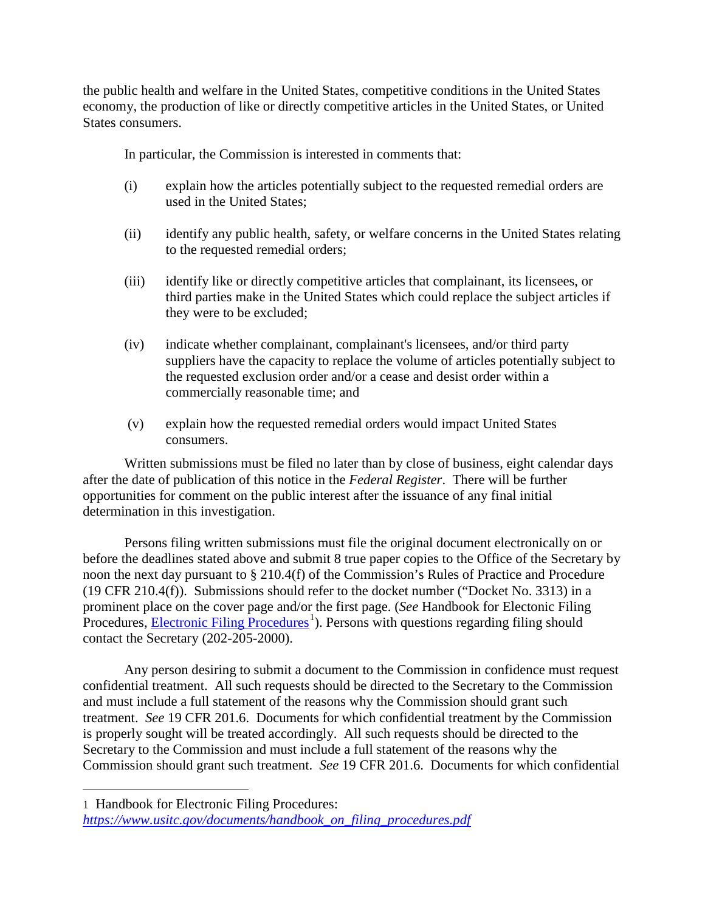the public health and welfare in the United States, competitive conditions in the United States economy, the production of like or directly competitive articles in the United States, or United States consumers.

In particular, the Commission is interested in comments that:

- (i) explain how the articles potentially subject to the requested remedial orders are used in the United States;
- (ii) identify any public health, safety, or welfare concerns in the United States relating to the requested remedial orders;
- (iii) identify like or directly competitive articles that complainant, its licensees, or third parties make in the United States which could replace the subject articles if they were to be excluded;
- (iv) indicate whether complainant, complainant's licensees, and/or third party suppliers have the capacity to replace the volume of articles potentially subject to the requested exclusion order and/or a cease and desist order within a commercially reasonable time; and
- (v) explain how the requested remedial orders would impact United States consumers.

Written submissions must be filed no later than by close of business, eight calendar days after the date of publication of this notice in the *Federal Register*. There will be further opportunities for comment on the public interest after the issuance of any final initial determination in this investigation.

Persons filing written submissions must file the original document electronically on or before the deadlines stated above and submit 8 true paper copies to the Office of the Secretary by noon the next day pursuant to § 210.4(f) of the Commission's Rules of Practice and Procedure (19 CFR 210.4(f)). Submissions should refer to the docket number ("Docket No. 3313) in a prominent place on the cover page and/or the first page. (*See* Handbook for Electonic Filing Procedures, **Electronic Filing Procedures**<sup>[1](#page-1-0)</sup>). Persons with questions regarding filing should contact the Secretary (202-205-2000).

Any person desiring to submit a document to the Commission in confidence must request confidential treatment. All such requests should be directed to the Secretary to the Commission and must include a full statement of the reasons why the Commission should grant such treatment. *See* 19 CFR 201.6. Documents for which confidential treatment by the Commission is properly sought will be treated accordingly. All such requests should be directed to the Secretary to the Commission and must include a full statement of the reasons why the Commission should grant such treatment. *See* 19 CFR 201.6. Documents for which confidential

 $\overline{a}$ 

<span id="page-1-0"></span><sup>1</sup> Handbook for Electronic Filing Procedures: *[https://www.usitc.gov/documents/handbook\\_on\\_filing\\_procedures.pdf](https://www.usitc.gov/documents/handbook_on_filing_procedures.pdf)*